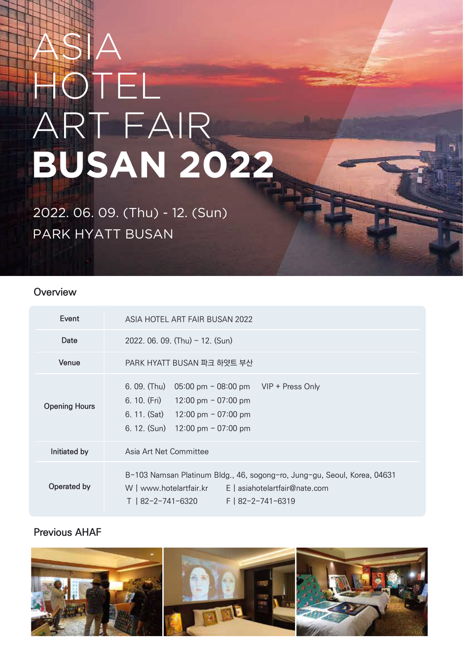# ASIA HOTEL ART FAIR **BUSAN 2022**

PARK HYATT BUSAN 2022. 06. 09. (Thu) - 12. (Sun)

#### **Overview**

| Event                | ASIA HOTEL ART FAIR BUSAN 2022                                                                                                                                                                              |  |  |  |
|----------------------|-------------------------------------------------------------------------------------------------------------------------------------------------------------------------------------------------------------|--|--|--|
| Date                 | 2022. 06. 09. (Thu) - 12. (Sun)                                                                                                                                                                             |  |  |  |
| Venue                | PARK HYATT BUSAN 파크 하얏트 부산                                                                                                                                                                                  |  |  |  |
| <b>Opening Hours</b> | $6.09.$ (Thu)<br>$05:00 \text{ pm} - 08:00 \text{ pm}$ VIP + Press Only<br>6. 10. (Fri) $12:00 \text{ pm} - 07:00 \text{ pm}$<br>6. 11. $(Sat)$ 12:00 pm - 07:00 pm<br>6. 12. $(Sun)$ 12:00 pm $-$ 07:00 pm |  |  |  |
| Initiated by         | Asia Art Net Committee                                                                                                                                                                                      |  |  |  |
| Operated by          | B-103 Namsan Platinum Bldg., 46, sogong-ro, Jung-gu, Seoul, Korea, 04631<br>E asiahotelartfair@nate.com<br>W   www.hotelartfair.kr<br>F   82-2-741-6319<br>  82-2-741-6320                                  |  |  |  |

### **Previous AHAF**

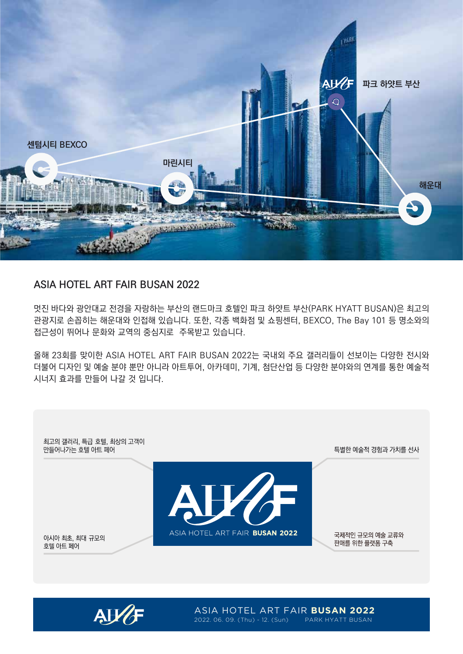

#### **ASIA HOTEL ART FAIR BUSAN 2022**

멋진 바다와 광안대교 전경을 자랑하는 부산의 랜드마크 호텔인 파크 하얏트 부산(PARK HYATT BUSAN)은 최고의 관광지로 손꼽히는 해운대와 인접해 있습니다. 또한, 각종 백화점 및 쇼핑센터, BEXCO, The Bay 101 등 명소와의 접근성이 뛰어나 문화와 교역의 중심지로 주목받고 있습니다.

올해 23회를 맞이한 ASIA HOTEL ART FAIR BUSAN 2022는 국내외 주요 갤러리들이 선보이는 다양한 전시와 더불어 디자인 및 예술 분야 뿐만 아니라 아트투어, 아카데미, 기계, 첨단산업 등 다양한 분야와의 연계를 통한 예술적 시너지 효과를 만들어 나갈 것 입니다.





ASIA HOTEL ART FAIR **BUSAN 2022** 2022. 06. 09. (Thu) - 12. (Sun) PARK HYATT BUSAN